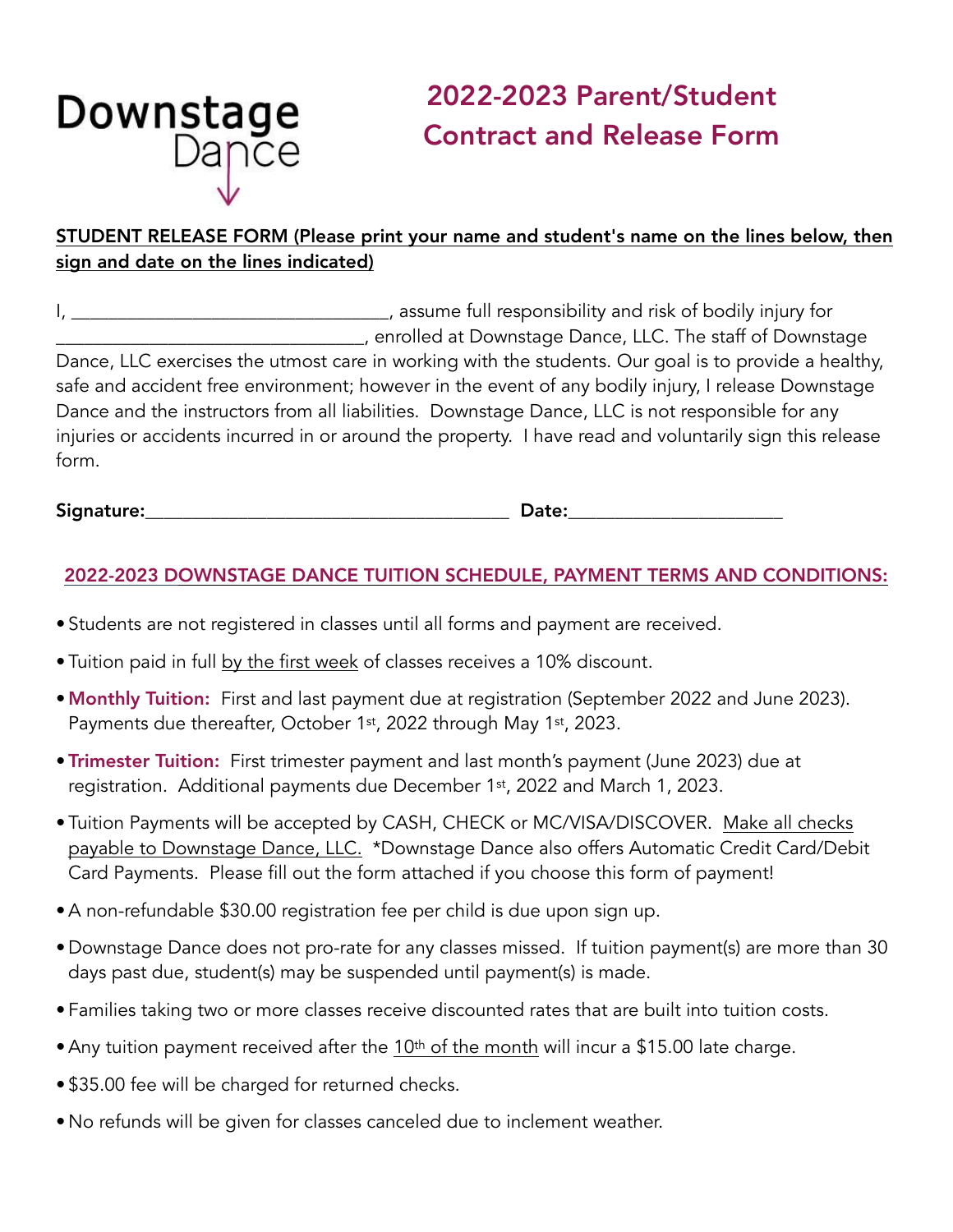## **Downstage**<br>Dapce

## 2022-2023 Parent/Student Contract and Release Form

## STUDENT RELEASE FORM (Please print your name and student's name on the lines below, then sign and date on the lines indicated)

I, \_\_\_\_\_\_\_\_\_\_\_\_\_\_\_\_\_\_\_\_\_\_\_\_\_\_\_\_\_\_\_\_\_\_\_, assume full responsibility and risk of bodily injury for \_\_\_\_\_\_\_\_\_\_\_\_\_\_\_\_\_\_\_\_\_\_\_\_\_\_\_\_\_\_\_\_\_, enrolled at Downstage Dance, LLC. The staff of Downstage Dance, LLC exercises the utmost care in working with the students. Our goal is to provide a healthy, safe and accident free environment; however in the event of any bodily injury, I release Downstage Dance and the instructors from all liabilities. Downstage Dance, LLC is not responsible for any injuries or accidents incurred in or around the property. I have read and voluntarily sign this release form.

Signature:\_\_\_\_\_\_\_\_\_\_\_\_\_\_\_\_\_\_\_\_\_\_\_\_\_\_\_\_\_\_\_\_\_\_\_\_\_\_\_ Date:\_\_\_\_\_\_\_\_\_\_\_\_\_\_\_\_\_\_\_\_\_\_\_

## 2022-2023 DOWNSTAGE DANCE TUITION SCHEDULE, PAYMENT TERMS AND CONDITIONS:

- Students are not registered in classes until all forms and payment are received.
- Tuition paid in full by the first week of classes receives a 10% discount.
- Monthly Tuition: First and last payment due at registration (September 2022 and June 2023). Payments due thereafter, October 1st, 2022 through May 1st, 2023.
- Trimester Tuition: First trimester payment and last month's payment (June 2023) due at registration. Additional payments due December 1st, 2022 and March 1, 2023.
- Tuition Payments will be accepted by CASH, CHECK or MC/VISA/DISCOVER. Make all checks payable to Downstage Dance, LLC. \*Downstage Dance also offers Automatic Credit Card/Debit Card Payments. Please fill out the form attached if you choose this form of payment!
- •A non-refundable \$30.00 registration fee per child is due upon sign up.
- Downstage Dance does not pro-rate for any classes missed. If tuition payment(s) are more than 30 days past due, student(s) may be suspended until payment(s) is made.
- Families taking two or more classes receive discounted rates that are built into tuition costs.
- Any tuition payment received after the 10<sup>th</sup> of the month will incur a \$15.00 late charge.
- \$35.00 fee will be charged for returned checks.
- No refunds will be given for classes canceled due to inclement weather.